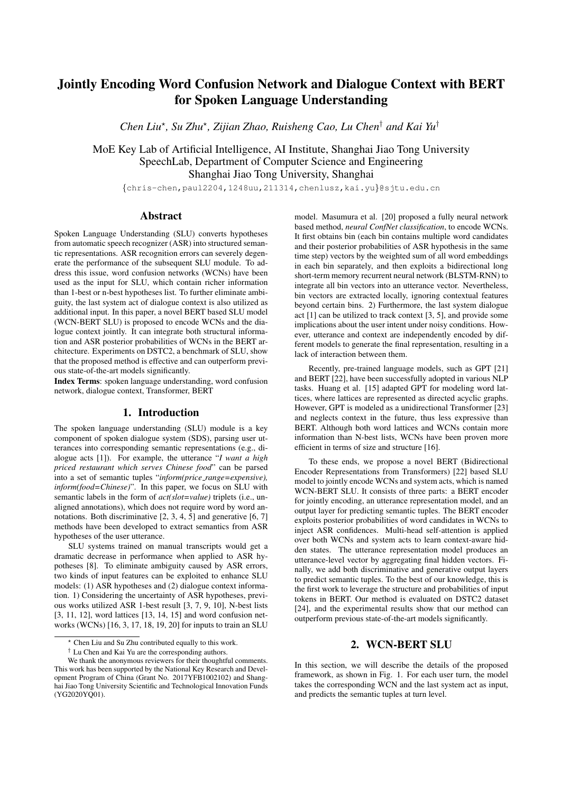# Jointly Encoding Word Confusion Network and Dialogue Context with BERT for Spoken Language Understanding

*Chen Liu*? *, Su Zhu*? *, Zijian Zhao, Ruisheng Cao, Lu Chen*† *and Kai Yu*†

MoE Key Lab of Artificial Intelligence, AI Institute, Shanghai Jiao Tong University SpeechLab, Department of Computer Science and Engineering Shanghai Jiao Tong University, Shanghai

{chris-chen,paul2204,1248uu,211314,chenlusz,kai.yu}@sjtu.edu.cn

# Abstract

Spoken Language Understanding (SLU) converts hypotheses from automatic speech recognizer (ASR) into structured semantic representations. ASR recognition errors can severely degenerate the performance of the subsequent SLU module. To address this issue, word confusion networks (WCNs) have been used as the input for SLU, which contain richer information than 1-best or n-best hypotheses list. To further eliminate ambiguity, the last system act of dialogue context is also utilized as additional input. In this paper, a novel BERT based SLU model (WCN-BERT SLU) is proposed to encode WCNs and the dialogue context jointly. It can integrate both structural information and ASR posterior probabilities of WCNs in the BERT architecture. Experiments on DSTC2, a benchmark of SLU, show that the proposed method is effective and can outperform previous state-of-the-art models significantly.

Index Terms: spoken language understanding, word confusion network, dialogue context, Transformer, BERT

## 1. Introduction

The spoken language understanding (SLU) module is a key component of spoken dialogue system (SDS), parsing user utterances into corresponding semantic representations (e.g., dialogue acts [\[1\]](#page-4-0)). For example, the utterance "*I want a high priced restaurant which serves Chinese food*" can be parsed into a set of semantic tuples "*inform(price range=expensive), inform(food=Chinese)*". In this paper, we focus on SLU with semantic labels in the form of *act(slot=value)* triplets (i.e., unaligned annotations), which does not require word by word annotations. Both discriminative [\[2,](#page-4-1) [3,](#page-4-2) [4,](#page-4-3) [5\]](#page-4-4) and generative [\[6,](#page-4-5) [7\]](#page-4-6) methods have been developed to extract semantics from ASR hypotheses of the user utterance.

SLU systems trained on manual transcripts would get a dramatic decrease in performance when applied to ASR hypotheses [\[8\]](#page-4-7). To eliminate ambiguity caused by ASR errors, two kinds of input features can be exploited to enhance SLU models: (1) ASR hypotheses and (2) dialogue context information. 1) Considering the uncertainty of ASR hypotheses, previous works utilized ASR 1-best result [\[3,](#page-4-2) [7,](#page-4-6) [9,](#page-4-8) [10\]](#page-4-9), N-best lists [\[3,](#page-4-2) [11,](#page-4-10) [12\]](#page-4-11), word lattices [\[13,](#page-4-12) [14,](#page-4-13) [15\]](#page-4-14) and word confusion networks (WCNs) [\[16,](#page-4-15) [3,](#page-4-2) [17,](#page-4-16) [18,](#page-4-17) [19,](#page-4-18) [20\]](#page-4-19) for inputs to train an SLU

model. Masumura et al. [\[20\]](#page-4-19) proposed a fully neural network based method, *neural ConfNet classification*, to encode WCNs. It first obtains bin (each bin contains multiple word candidates and their posterior probabilities of ASR hypothesis in the same time step) vectors by the weighted sum of all word embeddings in each bin separately, and then exploits a bidirectional long short-term memory recurrent neural network (BLSTM-RNN) to integrate all bin vectors into an utterance vector. Nevertheless, bin vectors are extracted locally, ignoring contextual features beyond certain bins. 2) Furthermore, the last system dialogue act [\[1\]](#page-4-0) can be utilized to track context [\[3,](#page-4-2) [5\]](#page-4-4), and provide some implications about the user intent under noisy conditions. However, utterance and context are independently encoded by different models to generate the final representation, resulting in a lack of interaction between them.

Recently, pre-trained language models, such as GPT [\[21\]](#page-4-20) and BERT [\[22\]](#page-4-21), have been successfully adopted in various NLP tasks. Huang et al. [\[15\]](#page-4-14) adapted GPT for modeling word lattices, where lattices are represented as directed acyclic graphs. However, GPT is modeled as a unidirectional Transformer [\[23\]](#page-4-22) and neglects context in the future, thus less expressive than BERT. Although both word lattices and WCNs contain more information than N-best lists, WCNs have been proven more efficient in terms of size and structure [\[16\]](#page-4-15).

To these ends, we propose a novel BERT (Bidirectional Encoder Representations from Transformers) [\[22\]](#page-4-21) based SLU model to jointly encode WCNs and system acts, which is named WCN-BERT SLU. It consists of three parts: a BERT encoder for jointly encoding, an utterance representation model, and an output layer for predicting semantic tuples. The BERT encoder exploits posterior probabilities of word candidates in WCNs to inject ASR confidences. Multi-head self-attention is applied over both WCNs and system acts to learn context-aware hidden states. The utterance representation model produces an utterance-level vector by aggregating final hidden vectors. Finally, we add both discriminative and generative output layers to predict semantic tuples. To the best of our knowledge, this is the first work to leverage the structure and probabilities of input tokens in BERT. Our method is evaluated on DSTC2 dataset [\[24\]](#page-4-23), and the experimental results show that our method can outperform previous state-of-the-art models significantly.

# 2. WCN-BERT SLU

In this section, we will describe the details of the proposed framework, as shown in Fig. [1.](#page-1-0) For each user turn, the model takes the corresponding WCN and the last system act as input, and predicts the semantic tuples at turn level.

<sup>?</sup> Chen Liu and Su Zhu contributed equally to this work.

<sup>†</sup> Lu Chen and Kai Yu are the corresponding authors.

We thank the anonymous reviewers for their thoughtful comments. This work has been supported by the National Key Research and Development Program of China (Grant No. 2017YFB1002102) and Shanghai Jiao Tong University Scientific and Technological Innovation Funds (YG2020YQ01).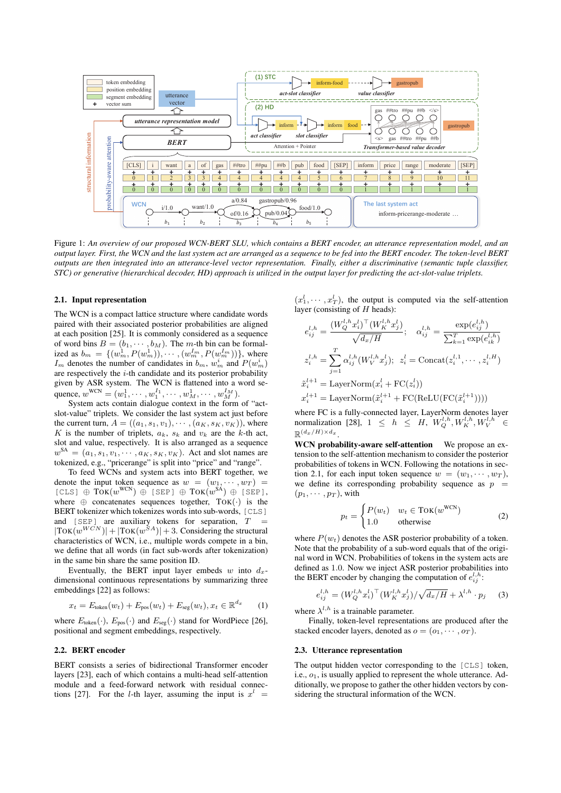<span id="page-1-0"></span>

Figure 1: *An overview of our proposed WCN-BERT SLU, which contains a BERT encoder, an utterance representation model, and an output layer. First, the WCN and the last system act are arranged as a sequence to be fed into the BERT encoder. The token-level BERT outputs are then integrated into an utterance-level vector representation. Finally, either a discriminative (semantic tuple classifier, STC) or generative (hierarchical decoder, HD) approach is utilized in the output layer for predicting the act-slot-value triplets.*

## <span id="page-1-1"></span>2.1. Input representation

The WCN is a compact lattice structure where candidate words paired with their associated posterior probabilities are aligned at each position [\[25\]](#page-4-24). It is commonly considered as a sequence of word bins  $B = (b_1, \dots, b_M)$ . The m-th bin can be formalized as  $b_m = \{ (w_m^1, P(w_m^1)), \cdots, (w_m^{I_m}, P(w_m^{I_m})) \}$ , where  $I_m$  denotes the number of candidates in  $b_m$ ,  $w_m^i$  and  $P(w_m^i)$ are respectively the  $i$ -th candidate and its posterior probability given by ASR system. The WCN is flattened into a word sequence,  $w^{\text{WCN}} = (w_1^1, \dots, w_1^{I_1}, \dots, w_M^1, \dots, w_M^{I_M}).$ 

System acts contain dialogue context in the form of "actslot-value" triplets. We consider the last system act just before the current turn,  $A = ((a_1, s_1, v_1), \cdots, (a_K, s_K, v_K))$ , where K is the number of triplets,  $a_k$ ,  $s_k$  and  $v_k$  are the k-th act, slot and value, respectively. It is also arranged as a sequence  $w^{SA} = (a_1, s_1, v_1, \cdots, a_K, s_K, v_K)$ . Act and slot names are tokenized, e.g., "pricerange" is split into "price" and "range".

To feed WCNs and system acts into BERT together, we denote the input token sequence as  $w = (w_1, \dots, w_T) =$  $[CLS] \oplus \text{Tok}(w^{\text{WCN}}) \oplus [SEP] \oplus \text{Tok}(w^{\text{SA}}) \oplus [SEP],$ where  $oplus$  concatenates sequences together,  $TOK(\cdot)$  is the BERT tokenizer which tokenizes words into sub-words, [CLS] and [SEP] are auxiliary tokens for separation,  $T =$  $|\text{Tok}(w^{WCN})| + |\text{Tok}(w^{SA})| + 3$ . Considering the structural characteristics of WCN, i.e., multiple words compete in a bin, we define that all words (in fact sub-words after tokenization) in the same bin share the same position ID.

Eventually, the BERT input layer embeds w into  $d_x$ dimensional continuous representations by summarizing three embeddings [\[22\]](#page-4-21) as follows:

$$
x_t = E_{\text{token}}(w_t) + E_{\text{pos}}(w_t) + E_{\text{seg}}(w_t), x_t \in \mathbb{R}^{d_x} \tag{1}
$$

where  $E_{\text{token}}(\cdot)$ ,  $E_{\text{pos}}(\cdot)$  and  $E_{\text{seg}}(\cdot)$  stand for WordPiece [\[26\]](#page-4-25), positional and segment embeddings, respectively.

#### 2.2. BERT encoder

BERT consists a series of bidirectional Transformer encoder layers [\[23\]](#page-4-22), each of which contains a multi-head self-attention module and a feed-forward network with residual connec-tions [\[27\]](#page-4-26). For the *l*-th layer, assuming the input is  $x^l =$ 

 $(x_1^l, \dots, x_T^l)$ , the output is computed via the self-attention layer (consisting of  $H$  heads):

$$
e_{ij}^{l,h} = \frac{(W_Q^{l,h} x_i^l)^{\top} (W_K^{l,h} x_j^l)}{\sqrt{d_x/H}}; \quad \alpha_{ij}^{l,h} = \frac{\exp(e_{ij}^{l,h})}{\sum_{k=1}^T \exp(e_{ik}^{l,h})}
$$

$$
z_i^{l,h} = \sum_{j=1}^T \alpha_{ij}^{l,h} (W_V^{l,h} x_j^l); \quad z_i^l = \text{Concat}(z_i^{l,1}, \dots, z_i^{l,H})
$$

$$
\tilde{x}_i^{l+1} = \text{LayerNorm}(x_i^l + \text{FC}(z_i^l))
$$

$$
x_i^{l+1} = \text{LayerNorm}(\tilde{x}_i^{l+1} + \text{FC}(\text{ReLU}(\text{FC}(\tilde{x}_i^{l+1}))))
$$

where FC is a fully-connected layer, LayerNorm denotes layer normalization [\[28\]](#page-4-27),  $1 \leq h \leq H, W_Q^{l,h}, W_K^{l,h}, W_V^{l,h} \in$  $\mathbb{R}^{(d_x/H)\times d_x}$ .

WCN probability-aware self-attention We propose an extension to the self-attention mechanism to consider the posterior probabilities of tokens in WCN. Following the notations in sec-tion [2.1,](#page-1-1) for each input token sequence  $w = (w_1, \dots, w_T)$ , we define its corresponding probability sequence as  $p =$  $(p_1, \cdots, p_T)$ , with

$$
p_t = \begin{cases} P(w_t) & w_t \in \text{Tok}(w^{\text{WCN}}) \\ 1.0 & \text{otherwise} \end{cases}
$$
 (2)

where  $P(w_t)$  denotes the ASR posterior probability of a token. Note that the probability of a sub-word equals that of the original word in WCN. Probabilities of tokens in the system acts are defined as 1.0. Now we inject ASR posterior probabilities into the BERT encoder by changing the computation of  $e_{ij}^{l,h}$ :

$$
e_{ij}^{l,h} = (W_Q^{l,h} x_i^l)^\top (W_K^{l,h} x_j^l) / \sqrt{d_x / H} + \lambda^{l,h} \cdot p_j \tag{3}
$$

where  $\lambda^{l,h}$  is a trainable parameter.

Finally, token-level representations are produced after the stacked encoder layers, denoted as  $o = (o_1, \dots, o_T)$ .

#### 2.3. Utterance representation

The output hidden vector corresponding to the [CLS] token, i.e.,  $o_1$ , is usually applied to represent the whole utterance. Additionally, we propose to gather the other hidden vectors by considering the structural information of the WCN.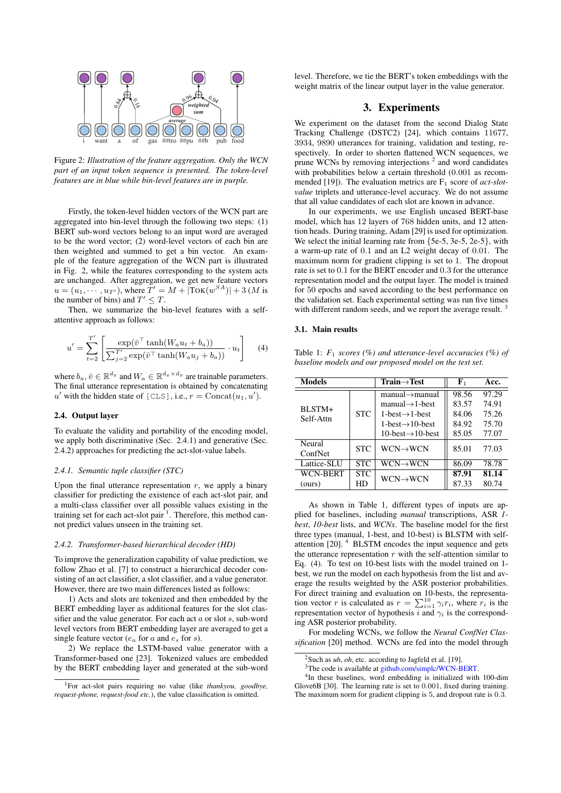<span id="page-2-0"></span>

Figure 2: *Illustration of the feature aggregation. Only the WCN part of an input token sequence is presented. The token-level features are in blue while bin-level features are in purple.*

Firstly, the token-level hidden vectors of the WCN part are aggregated into bin-level through the following two steps: (1) BERT sub-word vectors belong to an input word are averaged to be the word vector; (2) word-level vectors of each bin are then weighted and summed to get a bin vector. An example of the feature aggregation of the WCN part is illustrated in Fig. [2,](#page-2-0) while the features corresponding to the system acts are unchanged. After aggregation, we get new feature vectors  $u = (u_1, \dots, u_{T'})$ , where  $T' = M + |Tok(w^{SA})| + 3(M$  is the number of bins) and  $T' \leq T$ .

Then, we summarize the bin-level features with a selfattentive approach as follows:

$$
u' = \sum_{t=2}^{T'} \left[ \frac{\exp(\bar{v}^\top \tanh(W_a u_t + b_a))}{\sum_{j=2}^{T'} \exp(\bar{v}^\top \tanh(W_a u_j + b_a))} \cdot u_t \right]
$$
(4)

where  $b_a, \bar{v} \in \mathbb{R}^{d_x}$  and  $W_a \in \mathbb{R}^{d_x \times d_x}$  are trainable parameters. The final utterance representation is obtained by concatenating u' with the hidden state of [CLS], i.e.,  $r = \text{Concat}(u_1, u')$ .

## 2.4. Output layer

To evaluate the validity and portability of the encoding model, we apply both discriminative (Sec. [2.4.1\)](#page-2-1) and generative (Sec. [2.4.2\)](#page-2-2) approaches for predicting the act-slot-value labels.

## <span id="page-2-1"></span>*2.4.1. Semantic tuple classifier (STC)*

Upon the final utterance representation  $r$ , we apply a binary classifier for predicting the existence of each act-slot pair, and a multi-class classifier over all possible values existing in the training set for each act-slot pair<sup>[1](#page-2-3)</sup>. Therefore, this method cannot predict values unseen in the training set.

#### <span id="page-2-2"></span>*2.4.2. Transformer-based hierarchical decoder (HD)*

To improve the generalization capability of value prediction, we follow Zhao et al. [\[7\]](#page-4-6) to construct a hierarchical decoder consisting of an act classifier, a slot classifier, and a value generator. However, there are two main differences listed as follows:

1) Acts and slots are tokenized and then embedded by the BERT embedding layer as additional features for the slot classifier and the value generator. For each act  $a$  or slot  $s$ , sub-word level vectors from BERT embedding layer are averaged to get a single feature vector ( $e_a$  for a and  $e_s$  for s).

2) We replace the LSTM-based value generator with a Transformer-based one [\[23\]](#page-4-22). Tokenized values are embedded by the BERT embedding layer and generated at the sub-word level. Therefore, we tie the BERT's token embeddings with the weight matrix of the linear output layer in the value generator.

# 3. Experiments

We experiment on the dataset from the second Dialog State Tracking Challenge (DSTC2) [\[24\]](#page-4-23), which contains 11677, 3934, 9890 utterances for training, validation and testing, respectively. In order to shorten flattened WCN sequences, we prune WCNs by removing interjections<sup>[2](#page-2-4)</sup> and word candidates with probabilities below a certain threshold (0.001 as recom-mended [\[19\]](#page-4-18)). The evaluation metrics are  $F_1$  score of *act-slotvalue* triplets and utterance-level accuracy. We do not assume that all value candidates of each slot are known in advance.

In our experiments, we use English uncased BERT-base model, which has 12 layers of 768 hidden units, and 12 attention heads. During training, Adam [\[29\]](#page-4-28) is used for optimization. We select the initial learning rate from  $\{5e-5, 3e-5, 2e-5\}$ , with a warm-up rate of 0.1 and an L2 weight decay of 0.01. The maximum norm for gradient clipping is set to 1. The dropout rate is set to 0.1 for the BERT encoder and 0.3 for the utterance representation model and the output layer. The model is trained for 50 epochs and saved according to the best performance on the validation set. Each experimental setting was run five times with different random seeds, and we report the average result.<sup>[3](#page-2-5)</sup>

#### 3.1. Main results

<span id="page-2-8"></span><span id="page-2-6"></span>Table 1: *F*<sup>1</sup> *scores (%) and utterance-level accuracies (%) of baseline models and our proposed model on the test set.*

| <b>Models</b>         |            | $Train \rightarrow Test$         | ${\bf F}_1$ | Acc.  |
|-----------------------|------------|----------------------------------|-------------|-------|
| $BLSTM+$<br>Self-Attn | <b>STC</b> | $manual \rightarrow manual$      | 98.56       | 97.29 |
|                       |            | manual $\rightarrow$ 1-best      | 83.57       | 74.91 |
|                       |            | $1$ -best $\rightarrow$ 1-best   | 84.06       | 75.26 |
|                       |            | $1$ -best $\rightarrow$ 10-best  | 84.92       | 75.70 |
|                       |            | $10$ -best $\rightarrow$ 10-best | 85.05       | 77.07 |
| Neural                | <b>STC</b> | $WCN \rightarrow WCN$            | 85.01       | 77.03 |
| ConfNet               |            |                                  |             |       |
| Lattice-SLU           | <b>STC</b> | $WCN \rightarrow WCN$            | 86.09       | 78.78 |
| <b>WCN-BERT</b>       | <b>STC</b> | $WCN \rightarrow WCN$            | 87.91       | 81.14 |
| (ours)                | HD         |                                  | 87.33       | 80.74 |

As shown in Table [1,](#page-2-6) different types of inputs are applied for baselines, including *manual* transcriptions, ASR *1 best*, *10-best* lists, and *WCNs*. The baseline model for the first three types (manual, 1-best, and 10-best) is BLSTM with selfattention  $[20]$ .  $4$  BLSTM encodes the input sequence and gets the utterance representation  $r$  with the self-attention similar to Eq. [\(4\)](#page-2-8). To test on 10-best lists with the model trained on 1 best, we run the model on each hypothesis from the list and average the results weighted by the ASR posterior probabilities. For direct training and evaluation on 10-bests, the representation vector r is calculated as  $r = \sum_{i=1}^{10} \gamma_i r_i$ , where  $r_i$  is the representation vector of hypothesis  $\overline{i}$  and  $\gamma_i$  is the corresponding ASR posterior probability.

For modeling WCNs, we follow the *Neural ConfNet Classification* [\[20\]](#page-4-19) method. WCNs are fed into the model through

<span id="page-2-3"></span><sup>1</sup>For act-slot pairs requiring no value (like *thankyou, goodbye, request-phone, request-food etc.*), the value classification is omitted.

<span id="page-2-4"></span><sup>2</sup>Such as *uh*, *oh*, etc. according to Jagfeld et al. [\[19\]](#page-4-18).

<span id="page-2-7"></span><span id="page-2-5"></span><sup>&</sup>lt;sup>3</sup>The code is available at [github.com/simplc/WCN-BERT.](https://github.com/simplc/WCN-BERT)

<sup>&</sup>lt;sup>4</sup>In these baselines, word embedding is initialized with 100-dim Glove6B [\[30\]](#page-4-29). The learning rate is set to 0.001, fixed during training. The maximum norm for gradient clipping is 5, and dropout rate is 0.3.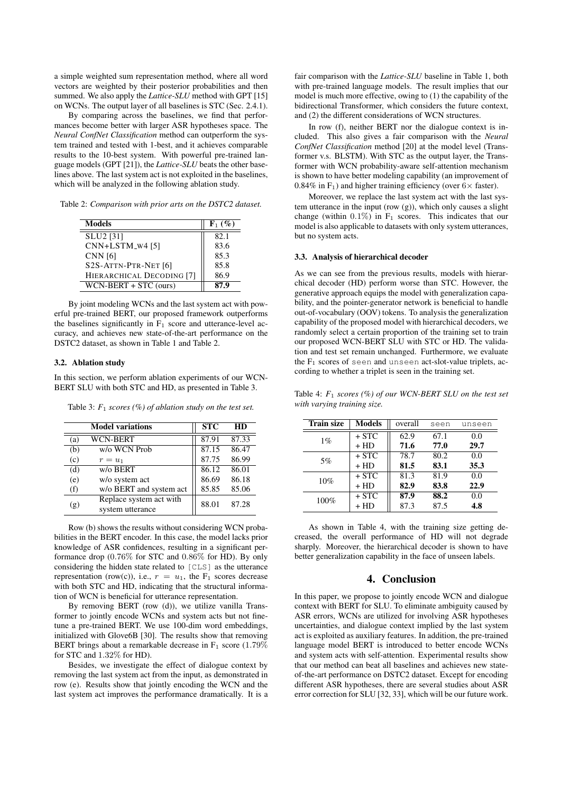a simple weighted sum representation method, where all word vectors are weighted by their posterior probabilities and then summed. We also apply the *Lattice-SLU* method with GPT [\[15\]](#page-4-14) on WCNs. The output layer of all baselines is STC (Sec. [2.4.1\)](#page-2-1).

By comparing across the baselines, we find that performances become better with larger ASR hypotheses space. The *Neural ConfNet Classification* method can outperform the system trained and tested with 1-best, and it achieves comparable results to the 10-best system. With powerful pre-trained language models (GPT [\[21\]](#page-4-20)), the *Lattice-SLU* beats the other baselines above. The last system act is not exploited in the baselines, which will be analyzed in the following ablation study.

<span id="page-3-0"></span>Table 2: *Comparison with prior arts on the DSTC2 dataset.*

| <b>Models</b>             | $\mathbf{F}_1$ (%) |
|---------------------------|--------------------|
| <b>SLU2</b> [31]          | 82.1               |
| $CNN+LSTM_w4[5]$          | 83.6               |
| <b>CNN</b> [6]            | 85.3               |
| S2S-ATTN-PTR-NET [6]      | 85.8               |
| HIERARCHICAL DECODING [7] | 86.9               |
| WCN-BERT + STC (ours)     | 87.9               |

By joint modeling WCNs and the last system act with powerful pre-trained BERT, our proposed framework outperforms the baselines significantly in  $F_1$  score and utterance-level accuracy, and achieves new state-of-the-art performance on the DSTC2 dataset, as shown in Table [1](#page-2-6) and Table [2.](#page-3-0)

#### 3.2. Ablation study

In this section, we perform ablation experiments of our WCN-BERT SLU with both STC and HD, as presented in Table [3.](#page-3-1)

<span id="page-3-1"></span>Table 3: *F*<sup>1</sup> *scores (%) of ablation study on the test set.*

|     | <b>Model variations</b>                     | <b>STC</b> | <b>HD</b>          |
|-----|---------------------------------------------|------------|--------------------|
| (a) | <b>WCN-BERT</b>                             | 87.91      | 87.33              |
| (b) | w/o WCN Prob                                | 87.15      | $86.\overline{47}$ |
| (c) | $r=u_1$                                     | 87.75      | 86.99              |
| (d) | w/o BERT                                    | 86.12      | 86.01              |
| (e) | w/o system act                              | 86.69      | 86.18              |
| (f) | w/o BERT and system act                     | 85.85      | 85.06              |
| (g) | Replace system act with<br>system utterance | 88.01      | 87.28              |

Row (b) shows the results without considering WCN probabilities in the BERT encoder. In this case, the model lacks prior knowledge of ASR confidences, resulting in a significant performance drop (0.76% for STC and 0.86% for HD). By only considering the hidden state related to [CLS] as the utterance representation (row(c)), i.e.,  $r = u_1$ , the F<sub>1</sub> scores decrease with both STC and HD, indicating that the structural information of WCN is beneficial for utterance representation.

By removing BERT (row (d)), we utilize vanilla Transformer to jointly encode WCNs and system acts but not finetune a pre-trained BERT. We use 100-dim word embeddings, initialized with Glove6B [\[30\]](#page-4-29). The results show that removing BERT brings about a remarkable decrease in  $F_1$  score (1.79%) for STC and 1.32% for HD).

Besides, we investigate the effect of dialogue context by removing the last system act from the input, as demonstrated in row (e). Results show that jointly encoding the WCN and the last system act improves the performance dramatically. It is a

fair comparison with the *Lattice-SLU* baseline in Table [1,](#page-2-6) both with pre-trained language models. The result implies that our model is much more effective, owing to (1) the capability of the bidirectional Transformer, which considers the future context, and (2) the different considerations of WCN structures.

In row (f), neither BERT nor the dialogue context is included. This also gives a fair comparison with the *Neural ConfNet Classification* method [\[20\]](#page-4-19) at the model level (Transformer v.s. BLSTM). With STC as the output layer, the Transformer with WCN probability-aware self-attention mechanism is shown to have better modeling capability (an improvement of 0.84% in F<sub>1</sub>) and higher training efficiency (over  $6 \times$  faster).

Moreover, we replace the last system act with the last system utterance in the input (row (g)), which only causes a slight change (within  $0.1\%$ ) in F<sub>1</sub> scores. This indicates that our model is also applicable to datasets with only system utterances, but no system acts.

#### 3.3. Analysis of hierarchical decoder

As we can see from the previous results, models with hierarchical decoder (HD) perform worse than STC. However, the generative approach equips the model with generalization capability, and the pointer-generator network is beneficial to handle out-of-vocabulary (OOV) tokens. To analysis the generalization capability of the proposed model with hierarchical decoders, we randomly select a certain proportion of the training set to train our proposed WCN-BERT SLU with STC or HD. The validation and test set remain unchanged. Furthermore, we evaluate the F<sup>1</sup> scores of seen and unseen act-slot-value triplets, according to whether a triplet is seen in the training set.

<span id="page-3-2"></span>Table 4: *F*<sup>1</sup> *scores (%) of our WCN-BERT SLU on the test set with varying training size.*

| <b>Train size</b> | Models  | overall | seen | unseen |
|-------------------|---------|---------|------|--------|
| $1\%$             | $+STC$  | 62.9    | 67.1 | 0.0    |
|                   | $+$ HD  | 71.6    | 77.0 | 29.7   |
| 5%                | $+$ STC | 78.7    | 80.2 | 0.0    |
|                   | + HD    | 81.5    | 83.1 | 35.3   |
| $10\%$            | $+STC$  | 81.3    | 81.9 | 0.0    |
|                   | + HD    | 82.9    | 83.8 | 22.9   |
| 100%              | $+$ STC | 87.9    | 88.2 | 0.0    |
|                   | + HD    | 87.3    | 87.5 | 4.8    |

As shown in Table [4,](#page-3-2) with the training size getting decreased, the overall performance of HD will not degrade sharply. Moreover, the hierarchical decoder is shown to have better generalization capability in the face of unseen labels.

## 4. Conclusion

In this paper, we propose to jointly encode WCN and dialogue context with BERT for SLU. To eliminate ambiguity caused by ASR errors, WCNs are utilized for involving ASR hypotheses uncertainties, and dialogue context implied by the last system act is exploited as auxiliary features. In addition, the pre-trained language model BERT is introduced to better encode WCNs and system acts with self-attention. Experimental results show that our method can beat all baselines and achieves new stateof-the-art performance on DSTC2 dataset. Except for encoding different ASR hypotheses, there are several studies about ASR error correction for SLU [\[32,](#page-4-31) [33\]](#page-4-32), which will be our future work.